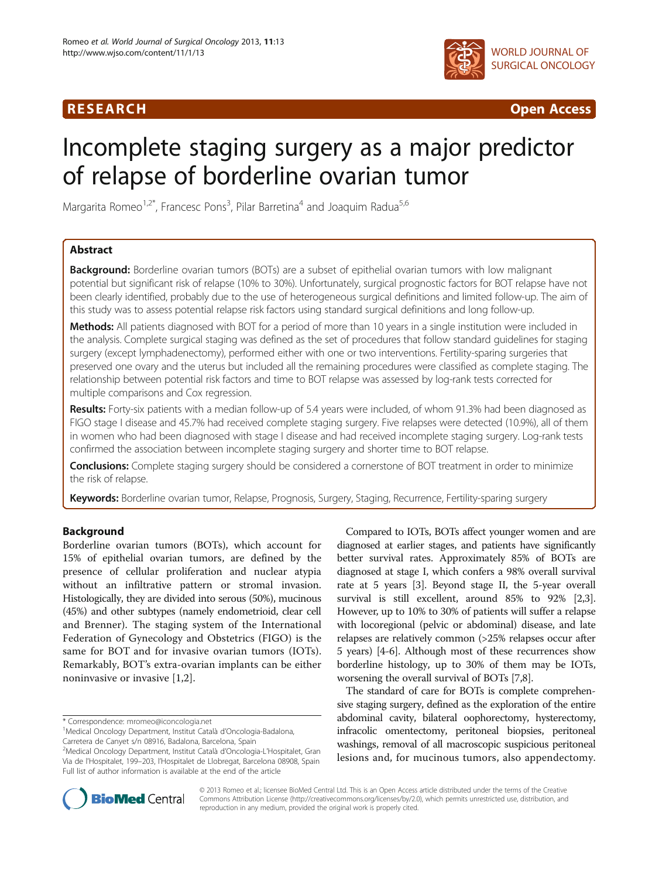## **RESEARCH CHOOSE INTERNATIONAL CONSUMING THE CONSUMING OPEN Access**



# Incomplete staging surgery as a major predictor of relapse of borderline ovarian tumor

Margarita Romeo<sup>1,2\*</sup>, Francesc Pons<sup>3</sup>, Pilar Barretina<sup>4</sup> and Joaquim Radua<sup>5,6</sup>

## Abstract

**Background:** Borderline ovarian tumors (BOTs) are a subset of epithelial ovarian tumors with low malignant potential but significant risk of relapse (10% to 30%). Unfortunately, surgical prognostic factors for BOT relapse have not been clearly identified, probably due to the use of heterogeneous surgical definitions and limited follow-up. The aim of this study was to assess potential relapse risk factors using standard surgical definitions and long follow-up.

Methods: All patients diagnosed with BOT for a period of more than 10 years in a single institution were included in the analysis. Complete surgical staging was defined as the set of procedures that follow standard guidelines for staging surgery (except lymphadenectomy), performed either with one or two interventions. Fertility-sparing surgeries that preserved one ovary and the uterus but included all the remaining procedures were classified as complete staging. The relationship between potential risk factors and time to BOT relapse was assessed by log-rank tests corrected for multiple comparisons and Cox regression.

Results: Forty-six patients with a median follow-up of 5.4 years were included, of whom 91.3% had been diagnosed as FIGO stage I disease and 45.7% had received complete staging surgery. Five relapses were detected (10.9%), all of them in women who had been diagnosed with stage I disease and had received incomplete staging surgery. Log-rank tests confirmed the association between incomplete staging surgery and shorter time to BOT relapse.

**Conclusions:** Complete staging surgery should be considered a cornerstone of BOT treatment in order to minimize the risk of relapse.

Keywords: Borderline ovarian tumor, Relapse, Prognosis, Surgery, Staging, Recurrence, Fertility-sparing surgery

## Background

Borderline ovarian tumors (BOTs), which account for 15% of epithelial ovarian tumors, are defined by the presence of cellular proliferation and nuclear atypia without an infiltrative pattern or stromal invasion. Histologically, they are divided into serous (50%), mucinous (45%) and other subtypes (namely endometrioid, clear cell and Brenner). The staging system of the International Federation of Gynecology and Obstetrics (FIGO) is the same for BOT and for invasive ovarian tumors (IOTs). Remarkably, BOT's extra-ovarian implants can be either noninvasive or invasive [[1,2](#page-6-0)].

\* Correspondence: [mromeo@iconcologia.net](mailto:mromeo@iconcologia.net) <sup>1</sup>

Medical Oncology Department, Institut Català d'Oncologia-Badalona, Carretera de Canyet s/n 08916, Badalona, Barcelona, Spain

Compared to IOTs, BOTs affect younger women and are diagnosed at earlier stages, and patients have significantly better survival rates. Approximately 85% of BOTs are diagnosed at stage I, which confers a 98% overall survival rate at 5 years [[3\]](#page-6-0). Beyond stage II, the 5-year overall survival is still excellent, around 85% to 92% [[2](#page-6-0),[3](#page-6-0)]. However, up to 10% to 30% of patients will suffer a relapse with locoregional (pelvic or abdominal) disease, and late relapses are relatively common (>25% relapses occur after 5 years) [[4-6\]](#page-6-0). Although most of these recurrences show borderline histology, up to 30% of them may be IOTs, worsening the overall survival of BOTs [\[7,8](#page-6-0)].

The standard of care for BOTs is complete comprehensive staging surgery, defined as the exploration of the entire abdominal cavity, bilateral oophorectomy, hysterectomy, infracolic omentectomy, peritoneal biopsies, peritoneal washings, removal of all macroscopic suspicious peritoneal lesions and, for mucinous tumors, also appendectomy.



© 2013 Romeo et al.; licensee BioMed Central Ltd. This is an Open Access article distributed under the terms of the Creative Commons Attribution License [\(http://creativecommons.org/licenses/by/2.0\)](http://creativecommons.org/licenses/by/2.0), which permits unrestricted use, distribution, and reproduction in any medium, provided the original work is properly cited.

<sup>2</sup> Medical Oncology Department, Institut Català d'Oncologia-L'Hospitalet, Gran Via de l'Hospitalet, 199–203, l'Hospitalet de Llobregat, Barcelona 08908, Spain Full list of author information is available at the end of the article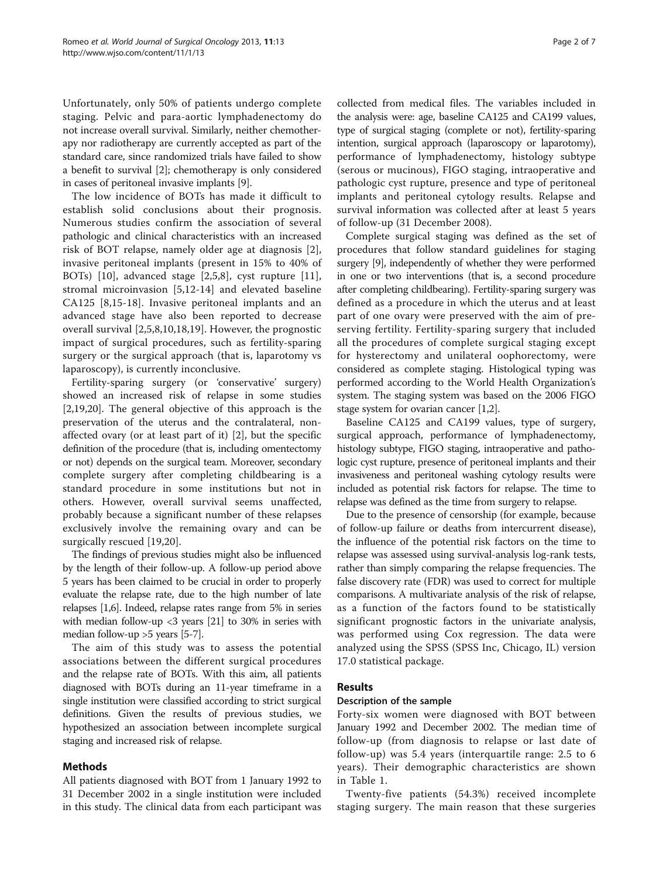Unfortunately, only 50% of patients undergo complete staging. Pelvic and para-aortic lymphadenectomy do not increase overall survival. Similarly, neither chemotherapy nor radiotherapy are currently accepted as part of the standard care, since randomized trials have failed to show a benefit to survival [[2\]](#page-6-0); chemotherapy is only considered in cases of peritoneal invasive implants [[9\]](#page-6-0).

The low incidence of BOTs has made it difficult to establish solid conclusions about their prognosis. Numerous studies confirm the association of several pathologic and clinical characteristics with an increased risk of BOT relapse, namely older age at diagnosis [\[2](#page-6-0)], invasive peritoneal implants (present in 15% to 40% of BOTs) [[10](#page-6-0)], advanced stage [[2,5,8](#page-6-0)], cyst rupture [\[11](#page-6-0)], stromal microinvasion [[5,12](#page-6-0)-[14\]](#page-6-0) and elevated baseline CA125 [[8,15-18\]](#page-6-0). Invasive peritoneal implants and an advanced stage have also been reported to decrease overall survival [\[2,5](#page-6-0),[8,10,18,19](#page-6-0)]. However, the prognostic impact of surgical procedures, such as fertility-sparing surgery or the surgical approach (that is, laparotomy vs laparoscopy), is currently inconclusive.

Fertility-sparing surgery (or 'conservative' surgery) showed an increased risk of relapse in some studies [[2,19,20\]](#page-6-0). The general objective of this approach is the preservation of the uterus and the contralateral, nonaffected ovary (or at least part of it) [\[2\]](#page-6-0), but the specific definition of the procedure (that is, including omentectomy or not) depends on the surgical team. Moreover, secondary complete surgery after completing childbearing is a standard procedure in some institutions but not in others. However, overall survival seems unaffected, probably because a significant number of these relapses exclusively involve the remaining ovary and can be surgically rescued [\[19](#page-6-0),[20\]](#page-6-0).

The findings of previous studies might also be influenced by the length of their follow-up. A follow-up period above 5 years has been claimed to be crucial in order to properly evaluate the relapse rate, due to the high number of late relapses [\[1,6\]](#page-6-0). Indeed, relapse rates range from 5% in series with median follow-up <3 years [\[21\]](#page-6-0) to 30% in series with median follow-up >5 years [\[5-7](#page-6-0)].

The aim of this study was to assess the potential associations between the different surgical procedures and the relapse rate of BOTs. With this aim, all patients diagnosed with BOTs during an 11-year timeframe in a single institution were classified according to strict surgical definitions. Given the results of previous studies, we hypothesized an association between incomplete surgical staging and increased risk of relapse.

## Methods

All patients diagnosed with BOT from 1 January 1992 to 31 December 2002 in a single institution were included in this study. The clinical data from each participant was

collected from medical files. The variables included in the analysis were: age, baseline CA125 and CA199 values, type of surgical staging (complete or not), fertility-sparing intention, surgical approach (laparoscopy or laparotomy), performance of lymphadenectomy, histology subtype (serous or mucinous), FIGO staging, intraoperative and pathologic cyst rupture, presence and type of peritoneal implants and peritoneal cytology results. Relapse and survival information was collected after at least 5 years of follow-up (31 December 2008).

Complete surgical staging was defined as the set of procedures that follow standard guidelines for staging surgery [\[9](#page-6-0)], independently of whether they were performed in one or two interventions (that is, a second procedure after completing childbearing). Fertility-sparing surgery was defined as a procedure in which the uterus and at least part of one ovary were preserved with the aim of preserving fertility. Fertility-sparing surgery that included all the procedures of complete surgical staging except for hysterectomy and unilateral oophorectomy, were considered as complete staging. Histological typing was performed according to the World Health Organization's system. The staging system was based on the 2006 FIGO stage system for ovarian cancer [\[1,2\]](#page-6-0).

Baseline CA125 and CA199 values, type of surgery, surgical approach, performance of lymphadenectomy, histology subtype, FIGO staging, intraoperative and pathologic cyst rupture, presence of peritoneal implants and their invasiveness and peritoneal washing cytology results were included as potential risk factors for relapse. The time to relapse was defined as the time from surgery to relapse.

Due to the presence of censorship (for example, because of follow-up failure or deaths from intercurrent disease), the influence of the potential risk factors on the time to relapse was assessed using survival-analysis log-rank tests, rather than simply comparing the relapse frequencies. The false discovery rate (FDR) was used to correct for multiple comparisons. A multivariate analysis of the risk of relapse, as a function of the factors found to be statistically significant prognostic factors in the univariate analysis, was performed using Cox regression. The data were analyzed using the SPSS (SPSS Inc, Chicago, IL) version 17.0 statistical package.

## Results

## Description of the sample

Forty-six women were diagnosed with BOT between January 1992 and December 2002. The median time of follow-up (from diagnosis to relapse or last date of follow-up) was 5.4 years (interquartile range: 2.5 to 6 years). Their demographic characteristics are shown in Table [1](#page-2-0).

Twenty-five patients (54.3%) received incomplete staging surgery. The main reason that these surgeries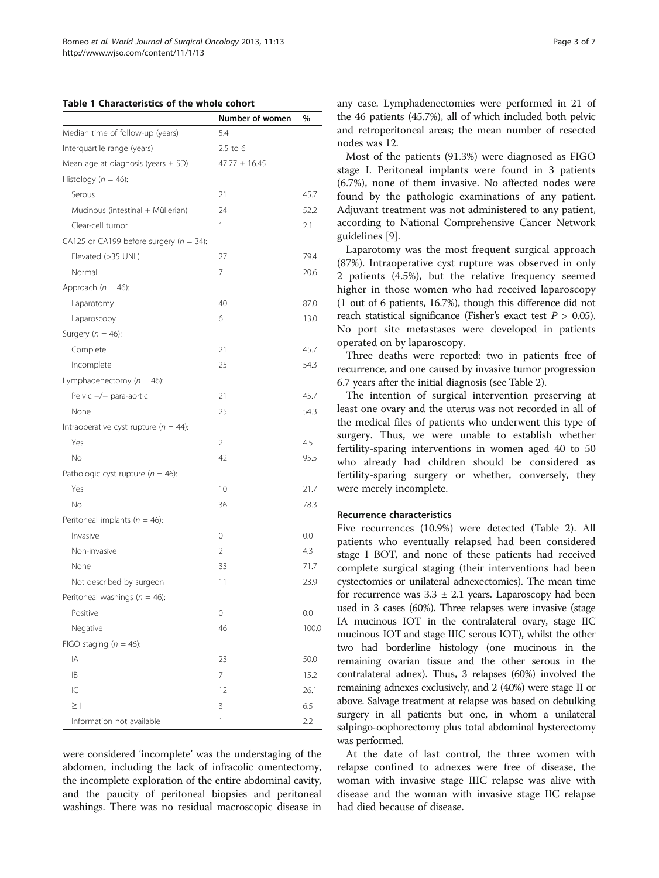## <span id="page-2-0"></span>Table 1 Characteristics of the whole cohort

|                                             | Number of women   | %     |
|---------------------------------------------|-------------------|-------|
| Median time of follow-up (years)            | 5.4               |       |
| Interquartile range (years)                 | $2.5$ to 6        |       |
| Mean age at diagnosis (years $\pm$ SD)      | $47.77 \pm 16.45$ |       |
| Histology ( $n = 46$ ):                     |                   |       |
| Serous                                      | 21                | 45.7  |
| Mucinous (intestinal + Müllerian)           | 24                | 52.2  |
| Clear-cell tumor                            | 1                 | 2.1   |
| CA125 or CA199 before surgery ( $n = 34$ ): |                   |       |
| Elevated (>35 UNL)                          | 27                | 79.4  |
| Normal                                      | 7                 | 20.6  |
| Approach ( $n = 46$ ):                      |                   |       |
| Laparotomy                                  | 40                | 87.0  |
| Laparoscopy                                 | 6                 | 13.0  |
| Surgery ( $n = 46$ ):                       |                   |       |
| Complete                                    | 21                | 45.7  |
| Incomplete                                  | 25                | 54.3  |
| Lymphadenectomy ( $n = 46$ ):               |                   |       |
| Pelvic +/- para-aortic                      | 21                | 45.7  |
| None                                        | 25                | 54.3  |
| Intraoperative cyst rupture ( $n = 44$ ):   |                   |       |
| Yes                                         | 2                 | 4.5   |
| No                                          | 42                | 95.5  |
| Pathologic cyst rupture ( $n = 46$ ):       |                   |       |
| Yes                                         | 10                | 21.7  |
| No                                          | 36                | 78.3  |
| Peritoneal implants ( $n = 46$ ):           |                   |       |
| Invasive                                    | 0                 | 0.0   |
| Non-invasive                                | 2                 | 4.3   |
| None                                        | 33                | 71.7  |
| Not described by surgeon                    | 11                | 23.9  |
| Peritoneal washings ( $n = 46$ ):           |                   |       |
| Positive                                    | 0                 | 0.0   |
| Negative                                    | 46                | 100.0 |
| FIGO staging ( $n = 46$ ):                  |                   |       |
| ΙA                                          | 23                | 50.0  |
| IB                                          | 7                 | 15.2  |
| IC                                          | 12                | 26.1  |
| $\geq$ II                                   | 3                 | 6.5   |
| Information not available                   | 1                 | 2.2   |

were considered 'incomplete' was the understaging of the abdomen, including the lack of infracolic omentectomy, the incomplete exploration of the entire abdominal cavity, and the paucity of peritoneal biopsies and peritoneal washings. There was no residual macroscopic disease in any case. Lymphadenectomies were performed in 21 of the 46 patients (45.7%), all of which included both pelvic and retroperitoneal areas; the mean number of resected nodes was 12.

Most of the patients (91.3%) were diagnosed as FIGO stage I. Peritoneal implants were found in 3 patients (6.7%), none of them invasive. No affected nodes were found by the pathologic examinations of any patient. Adjuvant treatment was not administered to any patient, according to National Comprehensive Cancer Network guidelines [[9\]](#page-6-0).

Laparotomy was the most frequent surgical approach (87%). Intraoperative cyst rupture was observed in only 2 patients (4.5%), but the relative frequency seemed higher in those women who had received laparoscopy (1 out of 6 patients, 16.7%), though this difference did not reach statistical significance (Fisher's exact test  $P > 0.05$ ). No port site metastases were developed in patients operated on by laparoscopy.

Three deaths were reported: two in patients free of recurrence, and one caused by invasive tumor progression 6.7 years after the initial diagnosis (see Table [2](#page-3-0)).

The intention of surgical intervention preserving at least one ovary and the uterus was not recorded in all of the medical files of patients who underwent this type of surgery. Thus, we were unable to establish whether fertility-sparing interventions in women aged 40 to 50 who already had children should be considered as fertility-sparing surgery or whether, conversely, they were merely incomplete.

## Recurrence characteristics

Five recurrences (10.9%) were detected (Table [2\)](#page-3-0). All patients who eventually relapsed had been considered stage I BOT, and none of these patients had received complete surgical staging (their interventions had been cystectomies or unilateral adnexectomies). The mean time for recurrence was  $3.3 \pm 2.1$  years. Laparoscopy had been used in 3 cases (60%). Three relapses were invasive (stage IA mucinous IOT in the contralateral ovary, stage IIC mucinous IOT and stage IIIC serous IOT), whilst the other two had borderline histology (one mucinous in the remaining ovarian tissue and the other serous in the contralateral adnex). Thus, 3 relapses (60%) involved the remaining adnexes exclusively, and 2 (40%) were stage II or above. Salvage treatment at relapse was based on debulking surgery in all patients but one, in whom a unilateral salpingo-oophorectomy plus total abdominal hysterectomy was performed.

At the date of last control, the three women with relapse confined to adnexes were free of disease, the woman with invasive stage IIIC relapse was alive with disease and the woman with invasive stage IIC relapse had died because of disease.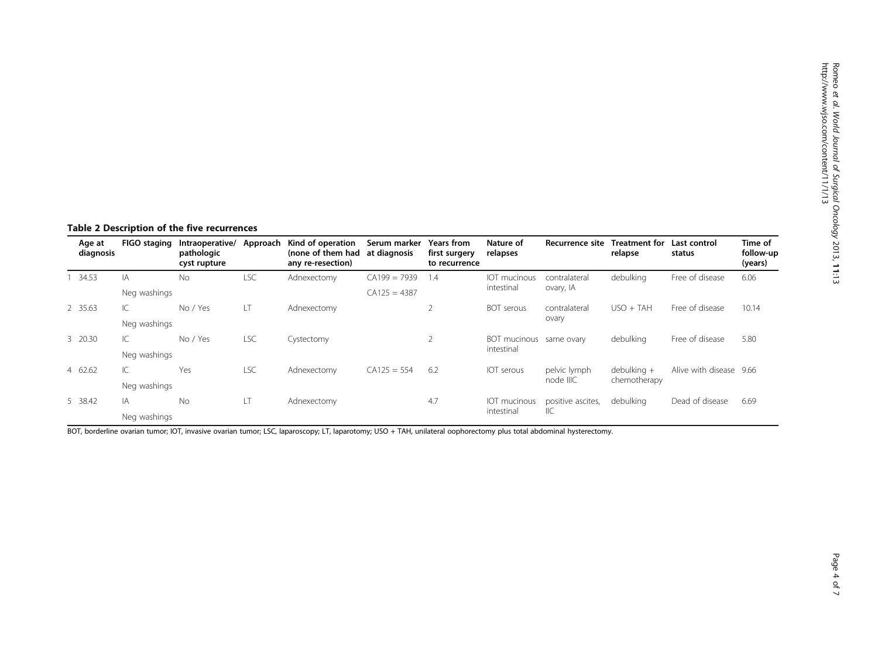## <span id="page-3-0"></span>Table 2 Description of the five recurrences

|         | Age at<br>diagnosis | FIGO staging | Intraoperative/<br>pathologic<br>cyst rupture | Approach   | Kind of operation<br>(none of them had at diagnosis<br>any re-resection) | Serum marker   | Years from<br>first surgery<br>to recurrence | Nature of<br>relapses | Recurrence site            | <b>Treatment for</b><br>relapse | Last control<br>status  | Time of<br>follow-up<br>(years) |      |
|---------|---------------------|--------------|-----------------------------------------------|------------|--------------------------------------------------------------------------|----------------|----------------------------------------------|-----------------------|----------------------------|---------------------------------|-------------------------|---------------------------------|------|
|         | 34.53               | IA           | <b>No</b>                                     | <b>LSC</b> | Adnexectomy                                                              | $CA199 = 7939$ | 1.4                                          | IOT mucinous          | contralateral<br>ovary, IA | debulking                       | Free of disease         | 6.06                            |      |
|         |                     | Neg washings |                                               |            |                                                                          | $CA125 = 4387$ | intestinal                                   |                       |                            |                                 |                         |                                 |      |
|         | 2 35.63             | IC           | No / Yes                                      | LT         | Adnexectomy                                                              |                | $\bigcap$<br>∠                               | <b>BOT</b> serous     | contralateral              | $USO + TAH$                     | Free of disease         | 10.14                           |      |
|         |                     | Neg washings |                                               |            |                                                                          |                |                                              |                       | ovary                      |                                 |                         |                                 |      |
|         | 3 20.30             | IC           | No / Yes                                      | <b>LSC</b> | Cystectomy                                                               |                |                                              | $\bigcap$<br>∠        | BOT mucinous same ovary    |                                 | debulking               | Free of disease                 | 5.80 |
|         |                     | Neg washings |                                               |            |                                                                          |                |                                              | intestinal            |                            |                                 |                         |                                 |      |
|         | 4 62.62             | IC           | Yes                                           | <b>LSC</b> | Adnexectomy                                                              | $CA125 = 554$  | 6.2                                          | IOT serous            | pelvic lymph               | $debulk$ ing +                  | Alive with disease 9.66 |                                 |      |
|         |                     | Neg washings |                                               |            |                                                                          |                |                                              |                       | node IIIC                  | chemotherapy                    |                         |                                 |      |
| 5 38.42 |                     | IA           | <b>No</b>                                     | LT         | Adnexectomy                                                              |                |                                              | 4.7                   | IOT mucinous<br>intestinal | positive ascites,<br>llС        | debulking               | Dead of disease                 | 6.69 |
|         |                     | Neg washings |                                               |            |                                                                          |                |                                              |                       |                            |                                 |                         |                                 |      |

BOT, borderline ovarian tumor; IOT, invasive ovarian tumor; LSC, laparoscopy; LT, laparotomy; USO + TAH, unilateral oophorectomy plus total abdominal hysterectomy.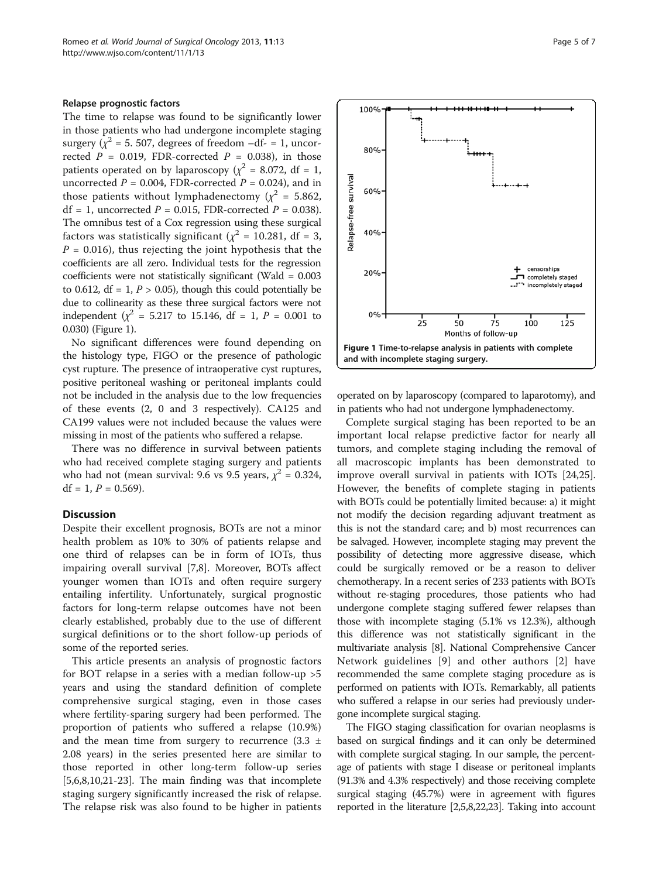### Relapse prognostic factors

The time to relapse was found to be significantly lower in those patients who had undergone incomplete staging surgery ( $\chi^2$  = 5. 507, degrees of freedom –df- = 1, uncorrected  $P = 0.019$ , FDR-corrected  $P = 0.038$ ), in those patients operated on by laparoscopy ( $\chi^2$  = 8.072, df = 1, uncorrected  $P = 0.004$ , FDR-corrected  $P = 0.024$ ), and in those patients without lymphadenectomy ( $\chi^2$  = 5.862, df = 1, uncorrected  $P = 0.015$ , FDR-corrected  $P = 0.038$ ). The omnibus test of a Cox regression using these surgical factors was statistically significant ( $\chi^2$  = 10.281, df = 3,  $P = 0.016$ , thus rejecting the joint hypothesis that the coefficients are all zero. Individual tests for the regression coefficients were not statistically significant (Wald = 0.003 to 0.612, df = 1,  $P > 0.05$ ), though this could potentially be due to collinearity as these three surgical factors were not independent ( $\chi^2$  = 5.217 to 15.146, df = 1, P = 0.001 to 0.030) (Figure 1).

No significant differences were found depending on the histology type, FIGO or the presence of pathologic cyst rupture. The presence of intraoperative cyst ruptures, positive peritoneal washing or peritoneal implants could not be included in the analysis due to the low frequencies of these events (2, 0 and 3 respectively). CA125 and CA199 values were not included because the values were missing in most of the patients who suffered a relapse.

There was no difference in survival between patients who had received complete staging surgery and patients who had not (mean survival: 9.6 vs 9.5 years,  $\chi^2 = 0.324$ ,  $df = 1, P = 0.569$ .

## **Discussion**

Despite their excellent prognosis, BOTs are not a minor health problem as 10% to 30% of patients relapse and one third of relapses can be in form of IOTs, thus impairing overall survival [\[7,8](#page-6-0)]. Moreover, BOTs affect younger women than IOTs and often require surgery entailing infertility. Unfortunately, surgical prognostic factors for long-term relapse outcomes have not been clearly established, probably due to the use of different surgical definitions or to the short follow-up periods of some of the reported series.

This article presents an analysis of prognostic factors for BOT relapse in a series with a median follow-up >5 years and using the standard definition of complete comprehensive surgical staging, even in those cases where fertility-sparing surgery had been performed. The proportion of patients who suffered a relapse (10.9%) and the mean time from surgery to recurrence (3.3  $\pm$ 2.08 years) in the series presented here are similar to those reported in other long-term follow-up series [[5,6,8,10,21-23](#page-6-0)]. The main finding was that incomplete staging surgery significantly increased the risk of relapse. The relapse risk was also found to be higher in patients



operated on by laparoscopy (compared to laparotomy), and in patients who had not undergone lymphadenectomy.

Complete surgical staging has been reported to be an important local relapse predictive factor for nearly all tumors, and complete staging including the removal of all macroscopic implants has been demonstrated to improve overall survival in patients with IOTs [\[24,25](#page-6-0)]. However, the benefits of complete staging in patients with BOTs could be potentially limited because: a) it might not modify the decision regarding adjuvant treatment as this is not the standard care; and b) most recurrences can be salvaged. However, incomplete staging may prevent the possibility of detecting more aggressive disease, which could be surgically removed or be a reason to deliver chemotherapy. In a recent series of 233 patients with BOTs without re-staging procedures, those patients who had undergone complete staging suffered fewer relapses than those with incomplete staging (5.1% vs 12.3%), although this difference was not statistically significant in the multivariate analysis [\[8\]](#page-6-0). National Comprehensive Cancer Network guidelines [[9\]](#page-6-0) and other authors [[2](#page-6-0)] have recommended the same complete staging procedure as is performed on patients with IOTs. Remarkably, all patients who suffered a relapse in our series had previously undergone incomplete surgical staging.

The FIGO staging classification for ovarian neoplasms is based on surgical findings and it can only be determined with complete surgical staging. In our sample, the percentage of patients with stage I disease or peritoneal implants (91.3% and 4.3% respectively) and those receiving complete surgical staging (45.7%) were in agreement with figures reported in the literature [[2,5,8,22,23\]](#page-6-0). Taking into account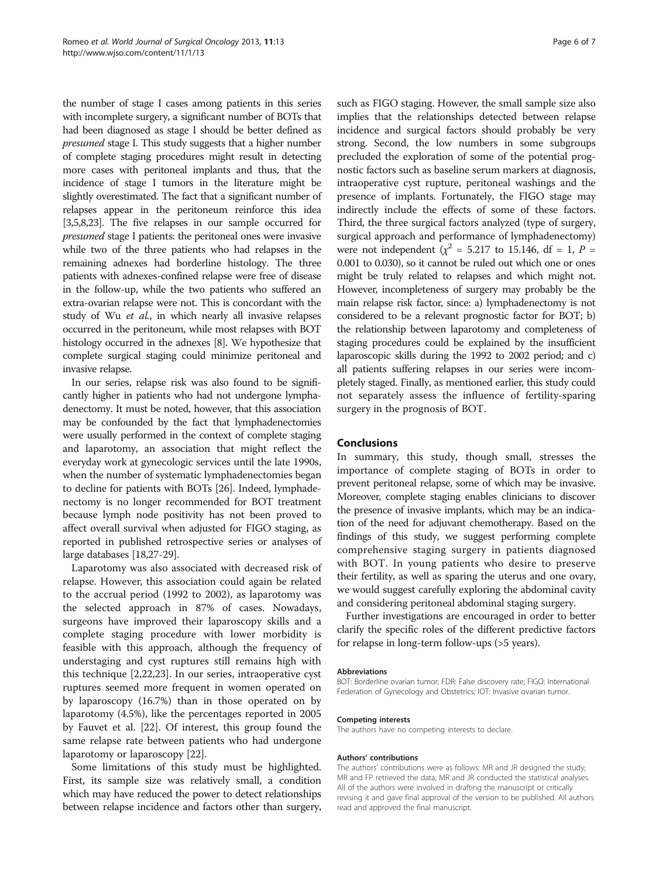the number of stage I cases among patients in this series with incomplete surgery, a significant number of BOTs that had been diagnosed as stage I should be better defined as presumed stage I. This study suggests that a higher number of complete staging procedures might result in detecting more cases with peritoneal implants and thus, that the incidence of stage I tumors in the literature might be slightly overestimated. The fact that a significant number of relapses appear in the peritoneum reinforce this idea [[3,5,8,23](#page-6-0)]. The five relapses in our sample occurred for presumed stage I patients: the peritoneal ones were invasive while two of the three patients who had relapses in the remaining adnexes had borderline histology. The three patients with adnexes-confined relapse were free of disease in the follow-up, while the two patients who suffered an extra-ovarian relapse were not. This is concordant with the study of Wu et al., in which nearly all invasive relapses occurred in the peritoneum, while most relapses with BOT histology occurred in the adnexes [\[8\]](#page-6-0). We hypothesize that complete surgical staging could minimize peritoneal and invasive relapse.

In our series, relapse risk was also found to be significantly higher in patients who had not undergone lymphadenectomy. It must be noted, however, that this association may be confounded by the fact that lymphadenectomies were usually performed in the context of complete staging and laparotomy, an association that might reflect the everyday work at gynecologic services until the late 1990s, when the number of systematic lymphadenectomies began to decline for patients with BOTs [[26](#page-6-0)]. Indeed, lymphadenectomy is no longer recommended for BOT treatment because lymph node positivity has not been proved to affect overall survival when adjusted for FIGO staging, as reported in published retrospective series or analyses of large databases [\[18,27-29\]](#page-6-0).

Laparotomy was also associated with decreased risk of relapse. However, this association could again be related to the accrual period (1992 to 2002), as laparotomy was the selected approach in 87% of cases. Nowadays, surgeons have improved their laparoscopy skills and a complete staging procedure with lower morbidity is feasible with this approach, although the frequency of understaging and cyst ruptures still remains high with this technique [\[2,22,23\]](#page-6-0). In our series, intraoperative cyst ruptures seemed more frequent in women operated on by laparoscopy (16.7%) than in those operated on by laparotomy (4.5%), like the percentages reported in 2005 by Fauvet et al. [\[22](#page-6-0)]. Of interest, this group found the same relapse rate between patients who had undergone laparotomy or laparoscopy [[22\]](#page-6-0).

Some limitations of this study must be highlighted. First, its sample size was relatively small, a condition which may have reduced the power to detect relationships between relapse incidence and factors other than surgery,

such as FIGO staging. However, the small sample size also implies that the relationships detected between relapse incidence and surgical factors should probably be very strong. Second, the low numbers in some subgroups precluded the exploration of some of the potential prognostic factors such as baseline serum markers at diagnosis, intraoperative cyst rupture, peritoneal washings and the presence of implants. Fortunately, the FIGO stage may indirectly include the effects of some of these factors. Third, the three surgical factors analyzed (type of surgery, surgical approach and performance of lymphadenectomy) were not independent ( $\chi^2$  = 5.217 to 15.146, df = 1, P = 0.001 to 0.030), so it cannot be ruled out which one or ones might be truly related to relapses and which might not. However, incompleteness of surgery may probably be the main relapse risk factor, since: a) lymphadenectomy is not considered to be a relevant prognostic factor for BOT; b) the relationship between laparotomy and completeness of staging procedures could be explained by the insufficient laparoscopic skills during the 1992 to 2002 period; and c) all patients suffering relapses in our series were incompletely staged. Finally, as mentioned earlier, this study could not separately assess the influence of fertility-sparing surgery in the prognosis of BOT.

## Conclusions

In summary, this study, though small, stresses the importance of complete staging of BOTs in order to prevent peritoneal relapse, some of which may be invasive. Moreover, complete staging enables clinicians to discover the presence of invasive implants, which may be an indication of the need for adjuvant chemotherapy. Based on the findings of this study, we suggest performing complete comprehensive staging surgery in patients diagnosed with BOT. In young patients who desire to preserve their fertility, as well as sparing the uterus and one ovary, we would suggest carefully exploring the abdominal cavity and considering peritoneal abdominal staging surgery.

Further investigations are encouraged in order to better clarify the specific roles of the different predictive factors for relapse in long-term follow-ups (>5 years).

#### Abbreviations

BOT: Borderline ovarian tumor; FDR: False discovery rate; FIGO: International Federation of Gynecology and Obstetrics; IOT: Invasive ovarian tumor.

#### Competing interests

The authors have no competing interests to declare.

#### Authors' contributions

The authors' contributions were as follows: MR and JR designed the study; MR and FP retrieved the data; MR and JR conducted the statistical analyses. All of the authors were involved in drafting the manuscript or critically revising it and gave final approval of the version to be published. All authors read and approved the final manuscript.